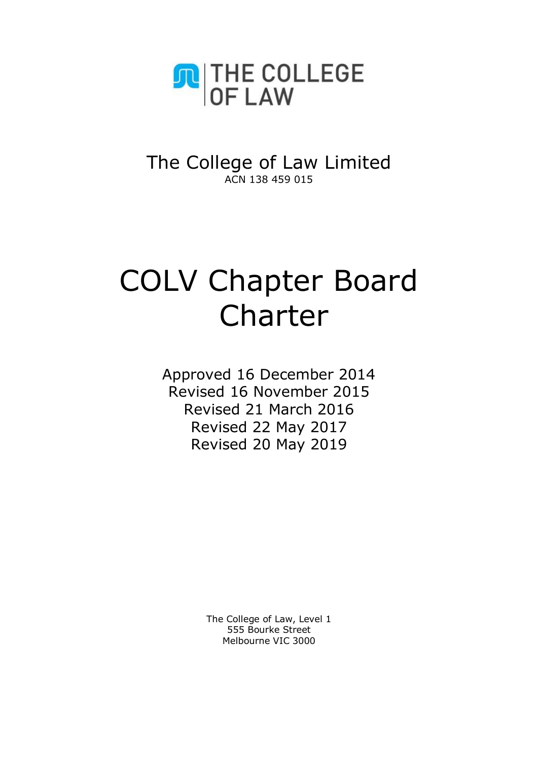

# The College of Law Limited ACN 138 459 015

# COLV Chapter Board Charter

Approved 16 December 2014 Revised 16 November 2015 Revised 21 March 2016 Revised 22 May 2017 Revised 20 May 2019

> The College of Law, Level 1 555 Bourke Street Melbourne VIC 3000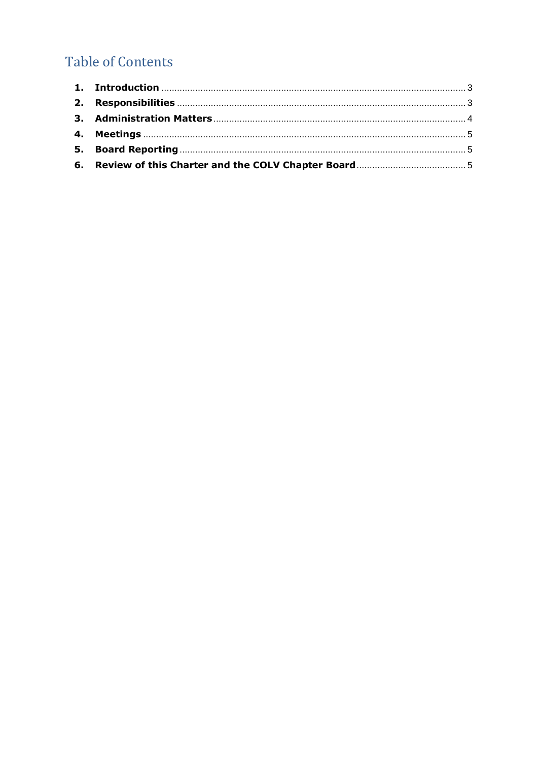# **Table of Contents**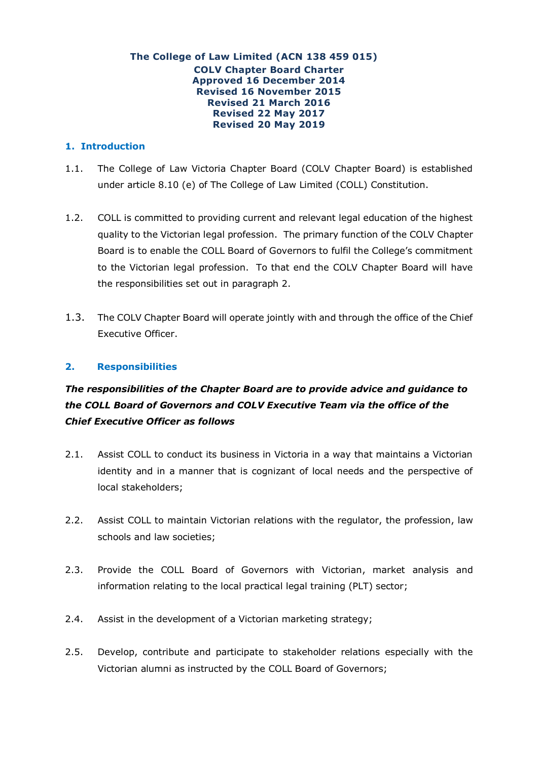#### **The College of Law Limited (ACN 138 459 015) COLV Chapter Board Charter Approved 16 December 2014 Revised 16 November 2015 Revised 21 March 2016 Revised 22 May 2017 Revised 20 May 2019**

# <span id="page-2-0"></span>**1. Introduction**

- 1.1. The College of Law Victoria Chapter Board (COLV Chapter Board) is established under article 8.10 (e) of The College of Law Limited (COLL) Constitution.
- 1.2. COLL is committed to providing current and relevant legal education of the highest quality to the Victorian legal profession. The primary function of the COLV Chapter Board is to enable the COLL Board of Governors to fulfil the College's commitment to the Victorian legal profession. To that end the COLV Chapter Board will have the responsibilities set out in paragraph 2.
- 1.3. The COLV Chapter Board will operate jointly with and through the office of the Chief Executive Officer.

# <span id="page-2-1"></span>**2. Responsibilities**

# *The responsibilities of the Chapter Board are to provide advice and guidance to the COLL Board of Governors and COLV Executive Team via the office of the Chief Executive Officer as follows*

- 2.1. Assist COLL to conduct its business in Victoria in a way that maintains a Victorian identity and in a manner that is cognizant of local needs and the perspective of local stakeholders;
- 2.2. Assist COLL to maintain Victorian relations with the regulator, the profession, law schools and law societies;
- 2.3. Provide the COLL Board of Governors with Victorian, market analysis and information relating to the local practical legal training (PLT) sector;
- 2.4. Assist in the development of a Victorian marketing strategy;
- 2.5. Develop, contribute and participate to stakeholder relations especially with the Victorian alumni as instructed by the COLL Board of Governors;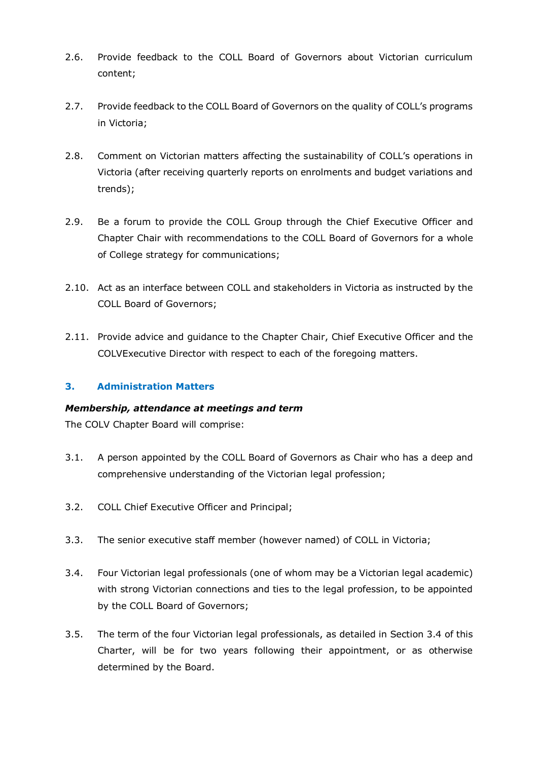- 2.6. Provide feedback to the COLL Board of Governors about Victorian curriculum content;
- 2.7. Provide feedback to the COLL Board of Governors on the quality of COLL's programs in Victoria;
- 2.8. Comment on Victorian matters affecting the sustainability of COLL's operations in Victoria (after receiving quarterly reports on enrolments and budget variations and trends);
- 2.9. Be a forum to provide the COLL Group through the Chief Executive Officer and Chapter Chair with recommendations to the COLL Board of Governors for a whole of College strategy for communications;
- 2.10. Act as an interface between COLL and stakeholders in Victoria as instructed by the COLL Board of Governors;
- 2.11. Provide advice and guidance to the Chapter Chair, Chief Executive Officer and the COLVExecutive Director with respect to each of the foregoing matters.

# <span id="page-3-0"></span>**3. Administration Matters**

# *Membership, attendance at meetings and term*

The COLV Chapter Board will comprise:

- 3.1. A person appointed by the COLL Board of Governors as Chair who has a deep and comprehensive understanding of the Victorian legal profession;
- 3.2. COLL Chief Executive Officer and Principal;
- 3.3. The senior executive staff member (however named) of COLL in Victoria;
- 3.4. Four Victorian legal professionals (one of whom may be a Victorian legal academic) with strong Victorian connections and ties to the legal profession, to be appointed by the COLL Board of Governors;
- 3.5. The term of the four Victorian legal professionals, as detailed in Section 3.4 of this Charter, will be for two years following their appointment, or as otherwise determined by the Board.